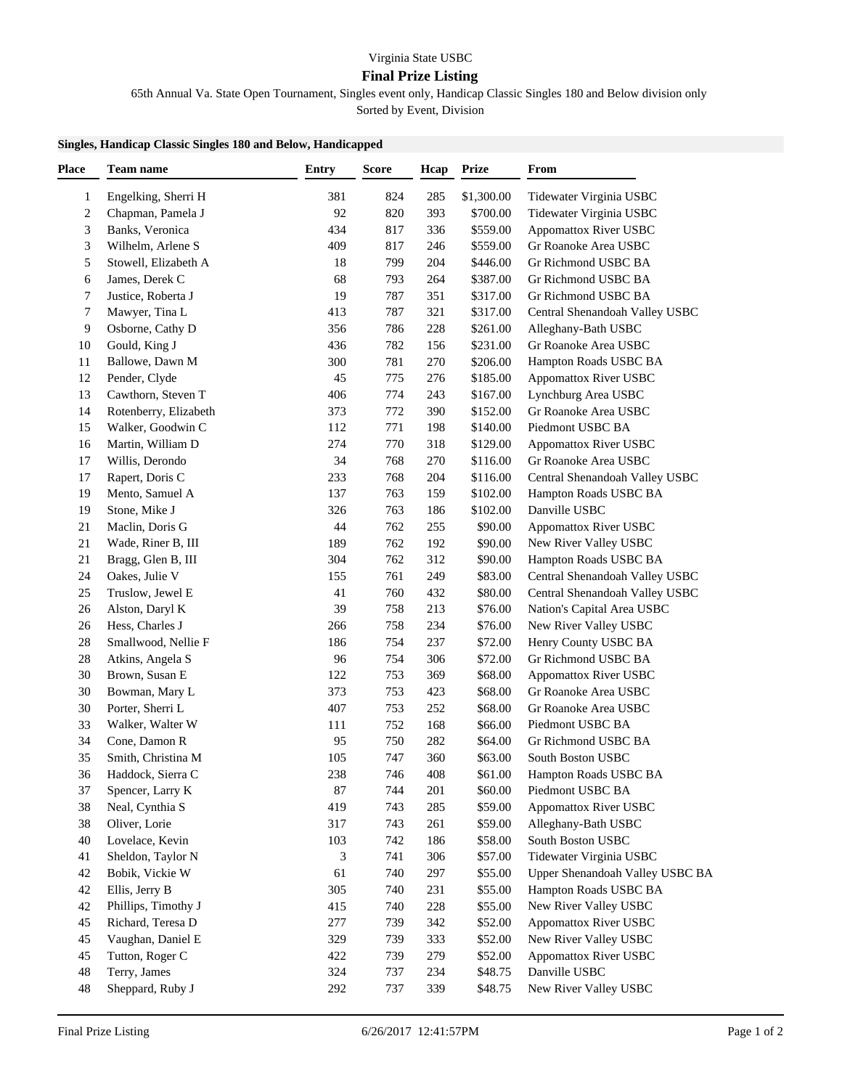## Virginia State USBC

## **Final Prize Listing**

65th Annual Va. State Open Tournament, Singles event only, Handicap Classic Singles 180 and Below division only

Sorted by Event, Division

## **Singles, Handicap Classic Singles 180 and Below, Handicapped**

| <b>Place</b>            | <b>Team name</b>                        | <b>Entry</b> | <b>Score</b> | Hcap | <b>Prize</b> | From                                                 |
|-------------------------|-----------------------------------------|--------------|--------------|------|--------------|------------------------------------------------------|
| 1                       | Engelking, Sherri H                     | 381          | 824          | 285  | \$1,300.00   | Tidewater Virginia USBC                              |
| $\overline{\mathbf{c}}$ | Chapman, Pamela J                       | 92           | 820          | 393  | \$700.00     | Tidewater Virginia USBC                              |
| 3                       | Banks, Veronica                         | 434          | 817          | 336  | \$559.00     | <b>Appomattox River USBC</b>                         |
| 3                       | Wilhelm, Arlene S                       | 409          | 817          | 246  | \$559.00     | Gr Roanoke Area USBC                                 |
| 5                       | Stowell, Elizabeth A                    | 18           | 799          | 204  | \$446.00     | Gr Richmond USBC BA                                  |
| 6                       | James, Derek C                          | 68           | 793          | 264  | \$387.00     | Gr Richmond USBC BA                                  |
| 7                       | Justice, Roberta J                      | 19           | 787          | 351  | \$317.00     | Gr Richmond USBC BA                                  |
| 7                       | Mawyer, Tina L                          | 413          | 787          | 321  | \$317.00     | Central Shenandoah Valley USBC                       |
| 9                       | Osborne, Cathy D                        | 356          | 786          | 228  | \$261.00     | Alleghany-Bath USBC                                  |
| 10                      | Gould, King J                           | 436          | 782          | 156  | \$231.00     | Gr Roanoke Area USBC                                 |
| 11                      | Ballowe, Dawn M                         | 300          | 781          | 270  | \$206.00     | Hampton Roads USBC BA                                |
| 12                      | Pender, Clyde                           | 45           | 775          | 276  | \$185.00     | <b>Appomattox River USBC</b>                         |
| 13                      | Cawthorn, Steven T                      | 406          | 774          | 243  | \$167.00     | Lynchburg Area USBC                                  |
| 14                      | Rotenberry, Elizabeth                   | 373          | 772          | 390  | \$152.00     | Gr Roanoke Area USBC                                 |
| 15                      | Walker, Goodwin C                       | 112          | 771          | 198  | \$140.00     | Piedmont USBC BA                                     |
| 16                      | Martin, William D                       | 274          | 770          | 318  | \$129.00     | <b>Appomattox River USBC</b>                         |
| 17                      | Willis, Derondo                         | 34           | 768          | 270  | \$116.00     | Gr Roanoke Area USBC                                 |
| 17                      | Rapert, Doris C                         | 233          | 768          | 204  | \$116.00     | Central Shenandoah Valley USBC                       |
| 19                      | Mento, Samuel A                         | 137          | 763          | 159  | \$102.00     | Hampton Roads USBC BA                                |
| 19                      | Stone, Mike J                           | 326          | 763          | 186  | \$102.00     | Danville USBC                                        |
| 21                      | Maclin, Doris G                         | 44           | 762          | 255  | \$90.00      | <b>Appomattox River USBC</b>                         |
| 21                      | Wade, Riner B, III                      | 189          | 762          | 192  | \$90.00      | New River Valley USBC                                |
| 21                      | Bragg, Glen B, III                      | 304          | 762          | 312  | \$90.00      | Hampton Roads USBC BA                                |
| 24                      | Oakes, Julie V                          | 155          | 761          |      | \$83.00      | Central Shenandoah Valley USBC                       |
|                         |                                         |              |              | 249  |              |                                                      |
| $25\,$                  | Truslow, Jewel E                        | 41<br>39     | 760          | 432  | \$80.00      | Central Shenandoah Valley USBC                       |
| $26\,$                  | Alston, Daryl K                         |              | 758          | 213  | \$76.00      | Nation's Capital Area USBC                           |
| $26\,$                  | Hess, Charles J                         | 266          | 758          | 234  | \$76.00      | New River Valley USBC                                |
| 28                      | Smallwood, Nellie F                     | 186          | 754          | 237  | \$72.00      | Henry County USBC BA                                 |
| 28                      | Atkins, Angela S                        | 96           | 754          | 306  | \$72.00      | Gr Richmond USBC BA                                  |
| $30\,$                  | Brown, Susan E                          | 122          | 753          | 369  | \$68.00      | <b>Appomattox River USBC</b><br>Gr Roanoke Area USBC |
| $30\,$                  | Bowman, Mary L                          | 373          | 753          | 423  | \$68.00      |                                                      |
| $30\,$                  | Porter, Sherri L                        | 407          | 753          | 252  | \$68.00      | Gr Roanoke Area USBC                                 |
| 33                      | Walker, Walter W                        | 111          | 752          | 168  | \$66.00      | Piedmont USBC BA                                     |
| 34                      | Cone, Damon R                           | 95<br>105    | 750          | 282  | \$64.00      | Gr Richmond USBC BA<br>South Boston USBC             |
| 35                      | Smith, Christina M<br>Haddock, Sierra C |              | 747          | 360  | \$63.00      |                                                      |
| 36                      |                                         | 238          | 746          | 408  | \$61.00      | Hampton Roads USBC BA                                |
| 37                      | Spencer, Larry K                        | 87           | 744          | 201  | \$60.00      | Piedmont USBC BA<br><b>Appomattox River USBC</b>     |
| 38                      | Neal, Cynthia S                         | 419          | 743          | 285  | \$59.00      |                                                      |
| 38                      | Oliver, Lorie                           | 317          | 743          | 261  | \$59.00      | Alleghany-Bath USBC                                  |
| 40                      | Lovelace, Kevin                         | 103          | 742          | 186  | \$58.00      | South Boston USBC                                    |
| 41                      | Sheldon, Taylor N                       | 3            | 741          | 306  | \$57.00      | Tidewater Virginia USBC                              |
| 42                      | Bobik, Vickie W                         | 61           | 740          | 297  | \$55.00      | Upper Shenandoah Valley USBC BA                      |
| 42                      | Ellis, Jerry B                          | 305          | 740          | 231  | \$55.00      | Hampton Roads USBC BA                                |
| 42                      | Phillips, Timothy J                     | 415          | 740          | 228  | \$55.00      | New River Valley USBC                                |
| 45                      | Richard, Teresa D                       | 277          | 739          | 342  | \$52.00      | <b>Appomattox River USBC</b>                         |
| 45                      | Vaughan, Daniel E                       | 329          | 739          | 333  | \$52.00      | New River Valley USBC                                |
| 45                      | Tutton, Roger C                         | 422          | 739          | 279  | \$52.00      | <b>Appomattox River USBC</b>                         |
| $\sqrt{48}$             | Terry, James                            | 324          | 737          | 234  | \$48.75      | Danville USBC                                        |
| 48                      | Sheppard, Ruby J                        | 292          | 737          | 339  | \$48.75      | New River Valley USBC                                |